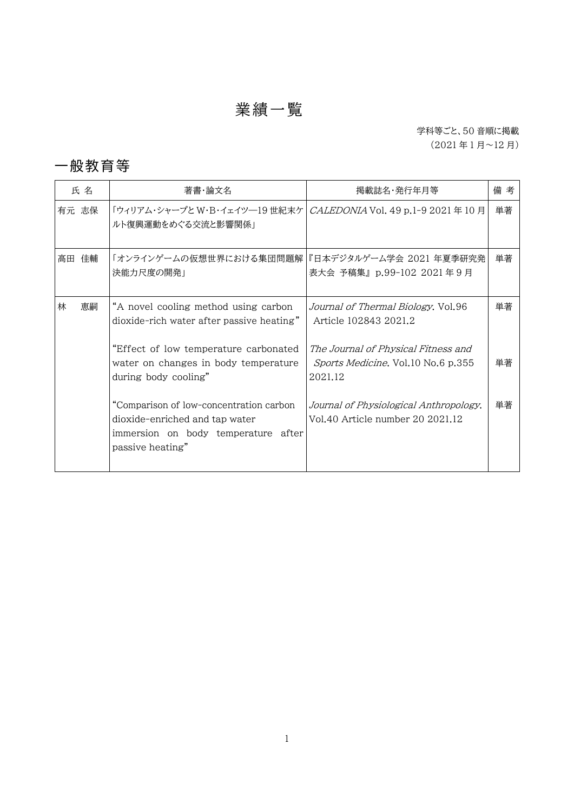# 業績一覧

#### 学科等ごと、50 音順に掲載 (2021 年 1 月~12 月)

#### 一般教育等

| 氏名      | 著書・論文名                                                                                                                               | 掲載誌名・発行年月等                                                                           | 備考 |
|---------|--------------------------------------------------------------------------------------------------------------------------------------|--------------------------------------------------------------------------------------|----|
| 有元 志保   | 「ウィリアム・シャープと W・B・イェイツ―19 世紀末ケ   CALEDONIA Vol. 49 p.1-9 2021 年 10 月<br>ルト復興運動をめぐる交流と影響関係」                                            |                                                                                      | 単著 |
| 高田 佳輔   | 「オンラインゲームの仮想世界における集団問題解 『日本デジタルゲーム学会 2021 年夏季研究発<br>決能力尺度の開発」                                                                        | 表大会 予稿集』p.99-102 2021年9月                                                             | 単著 |
| 林<br>恵嗣 | "A novel cooling method using carbon<br>dioxide-rich water after passive heating"                                                    | <i>Journal of Thermal Biology</i> , Vol.96<br>Article 102843 2021.2                  | 単著 |
|         | "Effect of low temperature carbonated<br>water on changes in body temperature<br>during body cooling"                                | The Journal of Physical Fitness and<br>Sports Medicine. Vol.10 No.6 p.355<br>2021.12 | 単著 |
|         | "Comparison of low-concentration carbon<br>dioxide-enriched and tap water<br>immersion on body temperature after<br>passive heating" | Journal of Physiological Anthropology.<br>Vol.40 Article number 20 2021.12           | 単著 |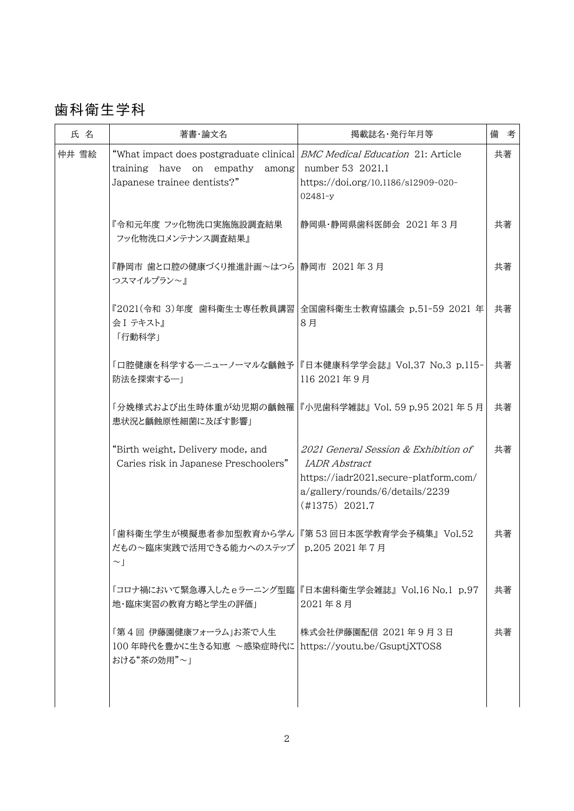## 歯科衛生学科

| 氏名    | 著書・論文名                                                                                                                                      | 掲載誌名・発行年月等                                                                                                                                                    | 備 考 |
|-------|---------------------------------------------------------------------------------------------------------------------------------------------|---------------------------------------------------------------------------------------------------------------------------------------------------------------|-----|
| 仲井 雪絵 | "What impact does postgraduate clinical <i>BMC Medical Education</i> 21: Article<br>training have on empathy<br>Japanese trainee dentists?" | among number 53 2021.1<br>https://doi.org/10.1186/s12909-020-<br>02481-y                                                                                      | 共著  |
|       | 『令和元年度 フッ化物洗口実施施設調査結果<br>フッ化物洗ロメンテナンス調査結果』                                                                                                  | 静岡県·静岡県歯科医師会 2021年3月                                                                                                                                          | 共著  |
|       | 『静岡市 歯と口腔の健康づくり推進計画~はつら 静岡市 2021 年3月<br>つスマイルプラン~』                                                                                          |                                                                                                                                                               | 共著  |
|       | 会Ⅰ テキスト』<br>「行動科学」                                                                                                                          | 『2021(令和 3)年度 歯科衛生士専任教員講習 全国歯科衛生士教育協議会 p.51-59 2021 年<br>8月                                                                                                   | 共著  |
|       | 防法を探索する--                                                                                                                                   | 「口腔健康を科学する―ニューノーマルな齲蝕予 『日本健康科学学会誌』 Vol.37 No.3 p.115-<br>116 2021年9月                                                                                          | 共著  |
|       | 患状況と齲蝕原性細菌に及ぼす影響」                                                                                                                           | 「分娩様式および出生時体重が幼児期の齲蝕罹 『小児歯科学雑誌』 Vol. 59 p.95 2021 年 5 月                                                                                                       | 共著  |
|       | "Birth weight, Delivery mode, and<br>Caries risk in Japanese Preschoolers"                                                                  | 2021 General Session & Exhibition of<br><i>IADR Abstract</i><br>https://iadr2021.secure-platform.com/<br>a/gallery/rounds/6/details/2239<br>$(\#1375)$ 2021.7 | 共著  |
|       | 「歯科衛生学生が模擬患者参加型教育から学ん 『第 53 回日本医学教育学会予稿集』 Vol.52<br>だもの~臨床実践で活用できる能力へのステップ  p.205 2021 年 7 月<br>$\sim$ 1                                    |                                                                                                                                                               | 共著  |
|       | 「コロナ禍において緊急導入したeラーニング型臨 『日本歯科衛生学会雑誌』 Vol.16 No.1 p.97<br>地・臨床実習の教育方略と学生の評価」                                                                 | 2021年8月                                                                                                                                                       | 共著  |
|       | 「第4回 伊藤園健康フォーラム」お茶で人生<br>100年時代を豊かに生きる知恵 ~感染症時代に <br>おける"茶の効用"~」                                                                            | 株式会社伊藤園配信 2021年9月3日<br>https://youtu.be/GsuptjXTOS8                                                                                                           | 共著  |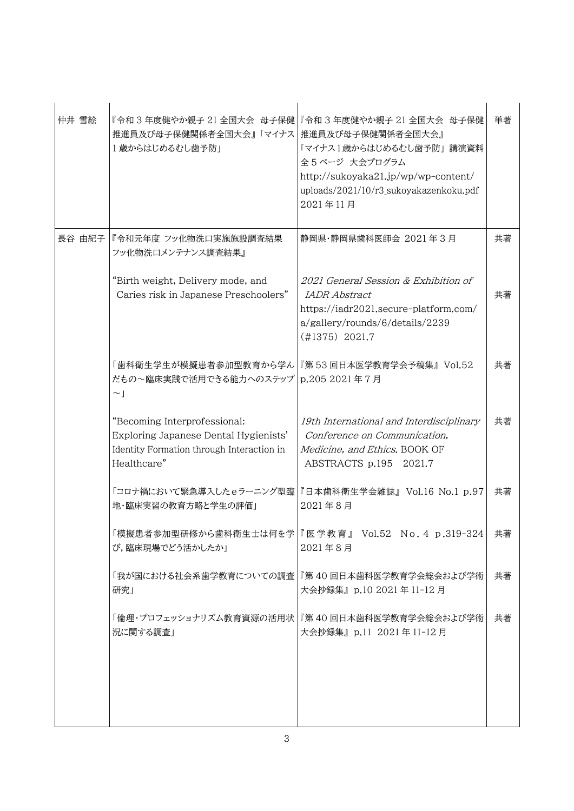| 仲井 雪絵 | 推進員及び母子保健関係者全国大会』「マイナス   推進員及び母子保健関係者全国大会』<br>1歳からはじめるむし歯予防」                                                                      | 『令和3年度健やか親子 21全国大会 母子保健 『令和3年度健やか親子 21全国大会 母子保健<br>「マイナス1歳からはじめるむし歯予防」 講演資料<br>全5ページ 大会プログラム<br>http://sukoyaka21.jp/wp/wp-content/<br>uploads/2021/10/r3_sukoyakazenkoku.pdf<br>2021年11月 | 単著 |
|-------|-----------------------------------------------------------------------------------------------------------------------------------|-------------------------------------------------------------------------------------------------------------------------------------------------------------------------------------------|----|
|       | 長谷 由紀子  『令和元年度 フッ化物洗口実施施設調査結果<br>フッ化物洗ロメンテナンス調査結果』                                                                                | 静岡県・静岡県歯科医師会 2021 年3月                                                                                                                                                                     | 共著 |
|       | "Birth weight, Delivery mode, and<br>Caries risk in Japanese Preschoolers"                                                        | 2021 General Session & Exhibition of<br><i>IADR Abstract</i><br>https://iadr2021.secure-platform.com/<br>a/gallery/rounds/6/details/2239<br>$(\#1375)$ 2021.7                             | 共著 |
|       | 「歯科衛生学生が模擬患者参加型教育から学ん 『第53回日本医学教育学会予稿集』 Vol.52<br>だもの~臨床実践で活用できる能力へのステップ   p.205 2021 年7月<br>$\sim$                               |                                                                                                                                                                                           | 共著 |
|       | "Becoming Interprofessional:<br>Exploring Japanese Dental Hygienists'<br>Identity Formation through Interaction in<br>Healthcare" | 19th International and Interdisciplinary<br>Conference on Communication,<br>Medicine, and Ethics. BOOK OF<br>ABSTRACTS p.195 2021.7                                                       | 共著 |
|       | 地・臨床実習の教育方略と学生の評価」                                                                                                                | 「コロナ禍において緊急導入したeラーニング型臨 『日本歯科衛生学会雑誌』 Vol.16 No.1 p.97<br>2021年8月                                                                                                                          | 共著 |
|       | び,臨床現場でどう活かしたか」                                                                                                                   | 「模擬患者参加型研修から歯科衛生士は何を学 『 医 学 教 育 』 Vol.52 No. 4 p.319-324  <br>2021年8月                                                                                                                     | 共著 |
|       | 研究」                                                                                                                               | 「我が国における社会系歯学教育についての調査   『第 40 回日本歯科医学教育学会総会および学術<br>大会抄録集』p.10 2021 年 11-12 月                                                                                                            | 共著 |
|       | 況に関する調査」                                                                                                                          | 「倫理・プロフェッショナリズム教育資源の活用状 『第40 回日本歯科医学教育学会総会および学術<br>大会抄録集』p.11 2021年11-12月                                                                                                                 | 共著 |
|       |                                                                                                                                   |                                                                                                                                                                                           |    |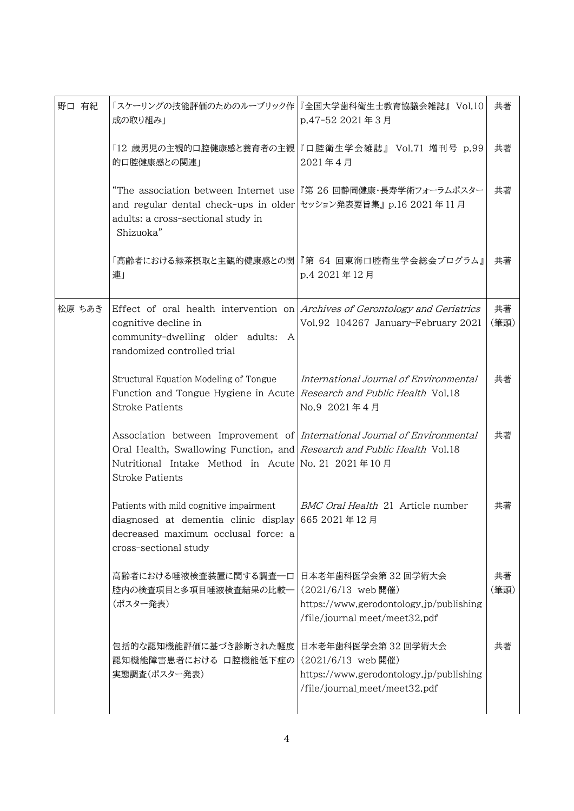| 野口 有紀  | 成の取り組み」                                                                                                                                                                                                                              | 「スケーリングの技能評価のためのルーブリック作 『全国大学歯科衛生士教育協議会雑誌』 Vol.10<br>p.47-52 2021年3月                                                | 共著         |
|--------|--------------------------------------------------------------------------------------------------------------------------------------------------------------------------------------------------------------------------------------|---------------------------------------------------------------------------------------------------------------------|------------|
|        | 的口腔健康感との関連」                                                                                                                                                                                                                          | 「12 歳男児の主観的口腔健康感と養育者の主観 『口腔衛生学会雑誌』 Vol.71 増刊号 p.99 <br>2021年4月                                                      | 共著         |
|        | and regular dental check-ups in older セッション発表要旨集』 p.16 2021年 11 月<br>adults: a cross-sectional study in<br>Shizuoka"                                                                                                                 | "The association between Internet use 『第 26 回静岡健康・長寿学術フォーラムポスター                                                     | 共著         |
|        | 連」                                                                                                                                                                                                                                   | 「高齢者における緑茶摂取と主観的健康感との関 『第 64 回東海口腔衛生学会総会プログラム』 <br>p.4 2021年12月                                                     | 共著         |
| 松原 ちあき | cognitive decline in<br>community-dwelling older adults: A<br>randomized controlled trial                                                                                                                                            | Effect of oral health intervention on Archives of Gerontology and Geriatrics<br>Vol.92 104267 January-February 2021 | 共著<br>(筆頭) |
|        | Structural Equation Modeling of Tongue<br>Function and Tongue Hygiene in Acute Research and Public Health Vol.18<br><b>Stroke Patients</b>                                                                                           | International Journal of Environmental<br>No.9 2021年4月                                                              | 共著         |
|        | Association between Improvement of International Journal of Environmental<br>Oral Health, Swallowing Function, and Research and Public Health Vol.18<br>Nutritional Intake Method in Acute No. 21 2021年10月<br><b>Stroke Patients</b> |                                                                                                                     | 共著         |
|        | Patients with mild cognitive impairment<br>diagnosed at dementia clinic display 665 2021 $\#$ 12 $\#$<br>decreased maximum occlusal force: a<br>cross-sectional study                                                                | BMC Oral Health 21 Article number                                                                                   | 共著         |
|        | 高齢者における唾液検査装置に関する調査一口<br>腔内の検査項目と多項目唾液検査結果の比較一<br>(ポスター発表)                                                                                                                                                                           | 日本老年歯科医学会第32回学術大会<br>(2021/6/13 web 開催)<br>https://www.gerodontology.jp/publishing<br>/file/journal meet/meet32.pdf | 共著<br>(筆頭) |
|        | 包括的な認知機能評価に基づき診断された軽度<br>認知機能障害患者における 口腔機能低下症の<br>実態調査(ポスター発表)                                                                                                                                                                       | 日本老年歯科医学会第32回学術大会<br>(2021/6/13 web 開催)<br>https://www.gerodontology.jp/publishing<br>/file/journal_meet/meet32.pdf | 共著         |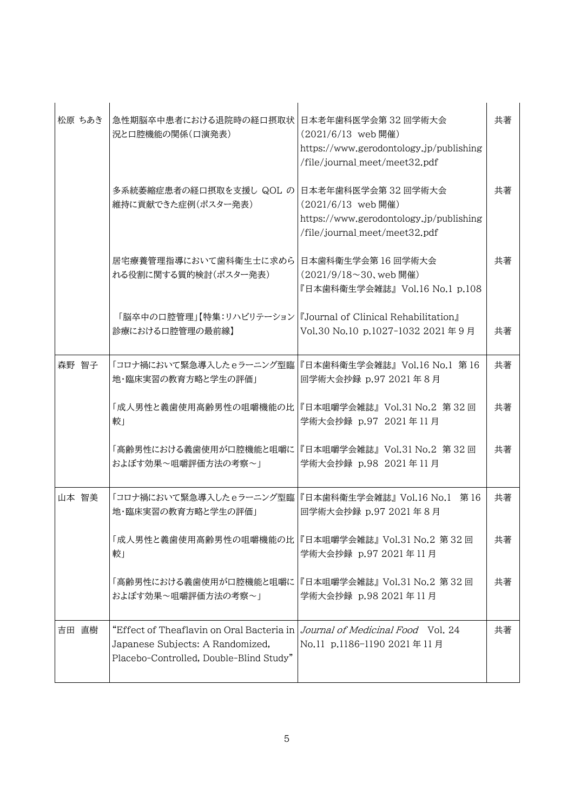| 松原 ちあき | 急性期脳卒中患者における退院時の経口摂取状<br>況と口腔機能の関係(口演発表)                                                                                 | 日本老年歯科医学会第32回学術大会<br>(2021/6/13 web 開催)<br>https://www.gerodontology.jp/publishing<br>/file/journal_meet/meet32.pdf | 共著 |
|--------|--------------------------------------------------------------------------------------------------------------------------|---------------------------------------------------------------------------------------------------------------------|----|
|        | 多系統萎縮症患者の経口摂取を支援し QOL の 日本老年歯科医学会第32回学術大会<br>維持に貢献できた症例(ポスター発表)                                                          | (2021/6/13 web 開催)<br>https://www.gerodontology.jp/publishing<br>/file/journal meet/meet32.pdf                      | 共著 |
|        | 居宅療養管理指導において歯科衛生士に求めら<br>れる役割に関する質的検討(ポスター発表)                                                                            | 日本歯科衛生学会第16回学術大会<br>(2021/9/18~30, web 開催)<br>『日本歯科衛生学会雑誌』 Vol.16 No.1 p.108                                        | 共著 |
|        | 「脳卒中の口腔管理」【特集:リハビリテーション 『Journal of Clinical Rehabilitation』<br>診療における口腔管理の最前線】                                          | Vol.30 No.10 p.1027-1032 2021年9月                                                                                    | 共著 |
| 森野 智子  | 「コロナ禍において緊急導入したeラーニング型臨 『日本歯科衛生学会雑誌』 Vol.16 No.1 第 16<br>地・臨床実習の教育方略と学生の評価」                                              | 回学術大会抄録 p.97 2021年8月                                                                                                | 共著 |
|        | 「成人男性と義歯使用高齢男性の咀嚼機能の比 『日本咀嚼学会雑誌』Vol.31 No.2 第 32 回<br>較」                                                                 | 学術大会抄録 p.97 2021年11月                                                                                                | 共著 |
|        | 「高齢男性における義歯使用が口腔機能と咀嚼に<br>およぼす効果~咀嚼評価方法の考察~1                                                                             | 『日本咀嚼学会雑誌』 Vol.31 No.2   第 32 回<br>学術大会抄録 p.98 2021年11月                                                             | 共著 |
| 山本 智美  | 「コロナ禍において緊急導入したeラーニング型臨 『日本歯科衛生学会雑誌』 Vol.16 No.1 第 16<br>地・臨床実習の教育方略と学生の評価」                                              | 回学術大会抄録 p.97 2021年8月                                                                                                | 共著 |
|        | 「成人男性と義歯使用高齢男性の咀嚼機能の比  『日本咀嚼学会雑誌』Vol.31 No.2 第 32 回<br>較」                                                                | 学術大会抄録 p.97 2021年11月                                                                                                | 共著 |
|        | 「高齢男性における義歯使用が口腔機能と咀嚼に<br>およぼす効果~咀嚼評価方法の考察~1                                                                             | 『日本咀嚼学会雑誌』Vol.31 No.2 第32回<br>学術大会抄録 p.98 2021 年 11 月                                                               | 共著 |
| 吉田 直樹  | "Effect of Theaflavin on Oral Bacteria in<br>Japanese Subjects: A Randomized,<br>Placebo-Controlled, Double-Blind Study" | Journal of Medicinal Food Vol. 24<br>No.11 p.1186-1190 2021年11月                                                     | 共著 |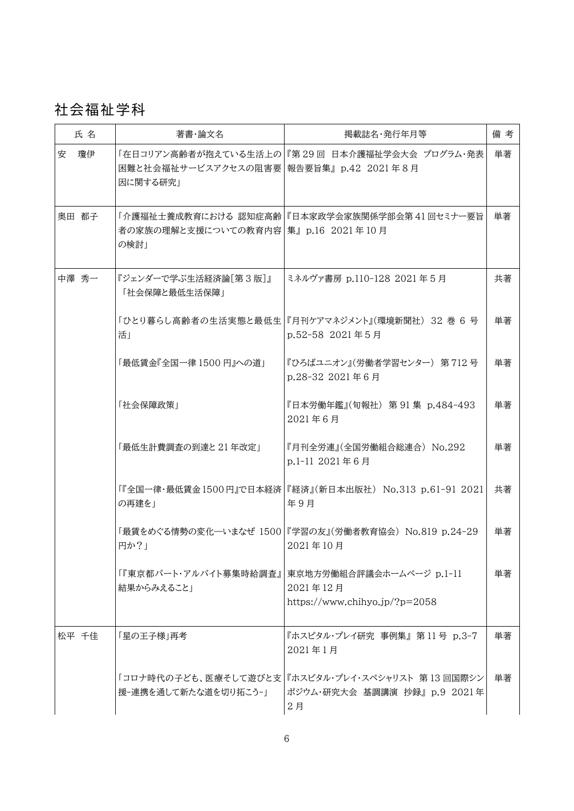### 社会福祉学科

| 氏名      | 著書・論文名                                               | 掲載誌名・発行年月等                                                                               | 備考 |
|---------|------------------------------------------------------|------------------------------------------------------------------------------------------|----|
| 安<br>瓊伊 | 困難と社会福祉サービスアクセスの阻害要 報告要旨集』 p.42 2021 年8月<br>因に関する研究1 | 「在日コリアン高齢者が抱えている生活上の 『第29回 日本介護福祉学会大会 プログラム・発表                                           | 単著 |
| 奥田 都子   | 者の家族の理解と支援についての教育内容   集』 p.16 2021 年 10 月<br>の検討!    | 「介護福祉士養成教育における 認知症高齢 『日本家政学会家族関係学部会第41 回セミナー要旨                                           | 単著 |
| 中澤 秀一   | 『ジェンダーで学ぶ生活経済論[第3版]』<br>「社会保障と最低生活保障」                | ミネルヴァ書房 p.110-128 2021 年5月                                                               | 共著 |
|         | 活」                                                   | 「ひとり暮らし高齢者の生活実態と最低生 『月刊ケアマネジメント』(環境新聞社) 32 巻 6 号<br>p.52-58 2021年5月                      | 単著 |
|         | 「最低賃金『全国一律 1500 円』への道」                               | 『ひろばユニオン』(労働者学習センター) 第712号<br>p.28-32 2021年6月                                            | 単著 |
|         | 「社会保障政策」                                             | 『日本労働年鑑』(旬報社) 第 91 集 p.484-493<br>2021年6月                                                | 単著 |
|         | 「最低生計費調査の到達と21年改定」                                   | 『月刊全労連』(全国労働組合総連合) No.292<br>p.1-11 2021年6月                                              | 単著 |
|         | の再建を」                                                | 「『全国一律・最低賃金 1500 円』で日本経済  『経済』(新日本出版社) No.313 p.61-91 2021 -<br>年9月                      | 共著 |
|         | 円か?」                                                 | 「最賃をめぐる情勢の変化―いまなぜ 1500  『学習の友』(労働者教育協会) No.819 p.24-29<br>2021年10月                       | 単著 |
|         | 「『東京都パート・アルバイト募集時給調査』<br>結果からみえること」                  | 東京地方労働組合評議会ホームページ p.1-11<br>2021年12月<br>https://www.chihyo.jp/?p=2058                    | 単著 |
| 松平 千佳   | 「星の王子様」再考                                            | 『ホスピタル・プレイ研究 事例集』 第11号 p.3-7<br>2021年1月                                                  | 単著 |
|         | 援−連携を通して新たな道を切り拓こう−」                                 | 「コロナ時代の子ども、医療そして遊びと支 『ホスピタル・プレイ・スペシャリスト 第 13 回国際シン<br>ポジウム・研究大会 基調講演 抄録』 p.9 2021年<br>2月 | 単著 |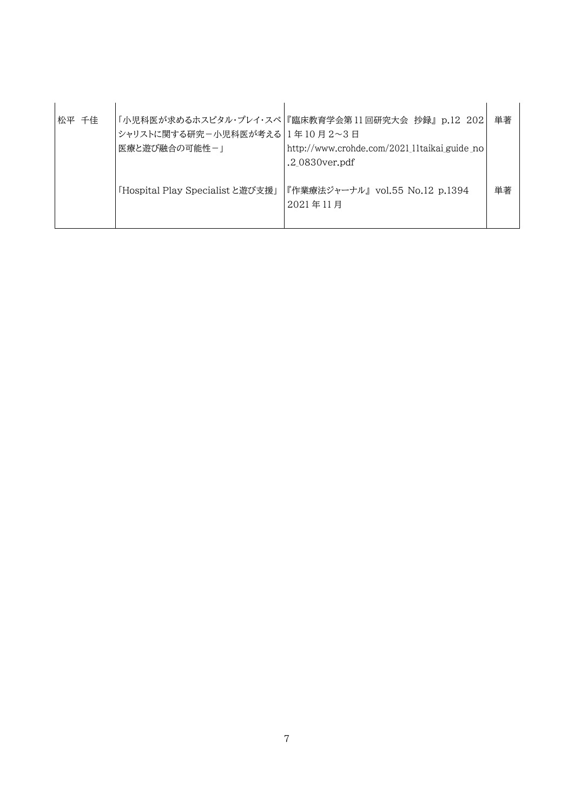| 松平 千佳 | シャリストに関する研究-小児科医が考える 1年10月2~3日<br>医療と游び融合の可能性-」 | 「小児科医が求めるホスピタル・プレイ・スペ 『臨床教育学会第 11 回研究大会 抄録』 p.12 202 <br>http://www.crohde.com/2021 11taikai guide no<br>.2 0830 ver.pdf | 単著 |
|-------|-------------------------------------------------|--------------------------------------------------------------------------------------------------------------------------|----|
|       | 「Hospital Play Specialistと遊び支援」                 | 『作業療法ジャーナル』 vol.55 No.12 p.1394<br>2021年11月                                                                              | 単著 |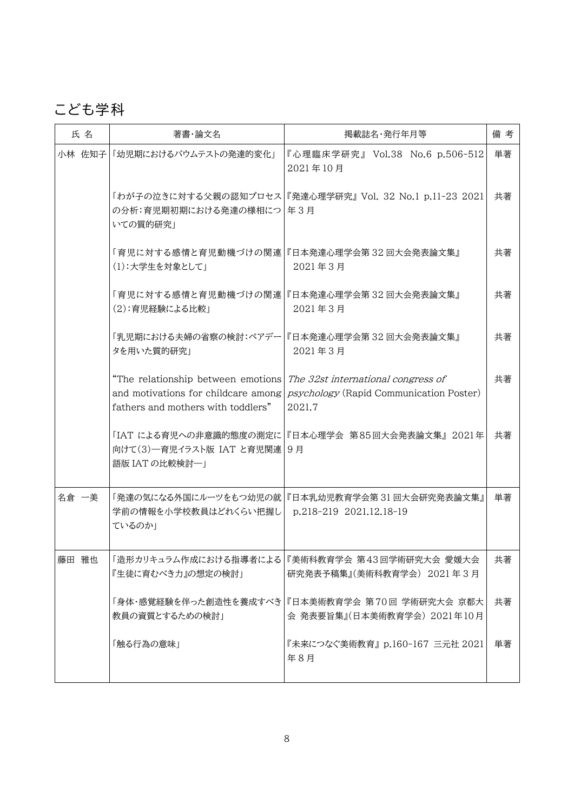# こども学科

| 氏名     | 著書·論文名                                                                   | 掲載誌名·発行年月等                                                                                                                         | 備考 |
|--------|--------------------------------------------------------------------------|------------------------------------------------------------------------------------------------------------------------------------|----|
| 小林 佐知子 | 「幼児期におけるバウムテストの発達的変化」                                                    | 『心理臨床学研究』 Vol.38 No.6 p.506-512<br>2021年10月                                                                                        | 単著 |
|        | の分析:育児期初期における発達の様相につ 年3月<br>いての質的研究1                                     | 「わが子の泣きに対する父親の認知プロセス 『発達心理学研究』 Vol. 32 No.1 p.11-23 2021                                                                           | 共著 |
|        | (1):大学生を対象として」                                                           | 「育児に対する感情と育児動機づけの関連 『日本発達心理学会第32 回大会発表論文集』<br>2021年3月                                                                              | 共著 |
|        | (2):育児経験による比較」                                                           | 「育児に対する感情と育児動機づけの関連 『日本発達心理学会第 32 回大会発表論文集』<br>2021年3月                                                                             | 共著 |
|        | 「乳児期における夫婦の省察の検討:ペアデー <br>タを用いた質的研究」                                     | 『日本発達心理学会第32回大会発表論文集』<br>2021年3月                                                                                                   | 共著 |
|        | "The relationship between emotions<br>fathers and mothers with toddlers" | The 32st international congress of<br>and motivations for childcare among <i>psychology</i> (Rapid Communication Poster)<br>2021.7 | 共著 |
|        | 向けて(3)一育児イラスト版 IAT と育児関連 <br>語版 IAT の比較検討一」                              | 「IAT による育児への非意識的態度の測定に 『日本心理学会 第85回大会発表論文集』 2021年 <br>9月                                                                           | 共著 |
| 名倉 一美  | 学前の情報を小学校教員はどれくらい把握し<br>ているのか」                                           | 「発達の気になる外国にルーツをもつ幼児の就 『日本乳幼児教育学会第 31 回大会研究発表論文集』<br>p.218-219 2021.12.18-19                                                        | 単著 |
| 藤田 雅也  | 『生徒に育むべき力』の想定の検討」                                                        | 「造形カリキュラム作成における指導者による 『美術科教育学会 第43回学術研究大会 愛媛大会<br>研究発表予稿集』(美術科教育学会) 2021年3月                                                        | 共著 |
|        | 教員の資質とするための検討」                                                           | 「身体・感覚経験を伴った創造性を養成すべき 『日本美術教育学会 第70回 学術研究大会 京都大<br>会 発表要旨集』(日本美術教育学会) 2021年10月                                                     | 共著 |
|        | 「触る行為の意味」                                                                | 『未来につなぐ美術教育』p.160-167 三元社 2021<br>年8月                                                                                              | 単著 |